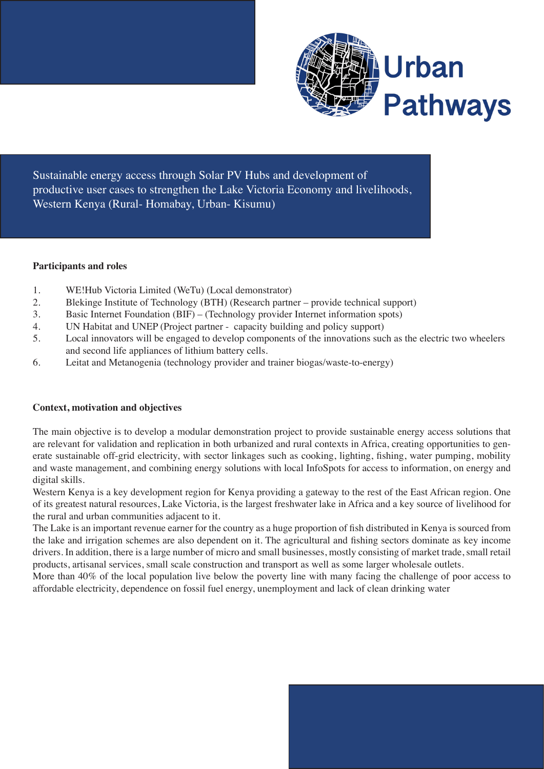

Sustainable energy access through Solar PV Hubs and development of productive user cases to strengthen the Lake Victoria Economy and livelihoods, Western Kenya (Rural- Homabay, Urban- Kisumu)

# **Participants and roles**

- 1. WE!Hub Victoria Limited (WeTu) (Local demonstrator)
- 2. Blekinge Institute of Technology (BTH) (Research partner provide technical support)
- 3. Basic Internet Foundation (BIF) (Technology provider Internet information spots)
- 4. UN Habitat and UNEP (Project partner capacity building and policy support)
- 5. Local innovators will be engaged to develop components of the innovations such as the electric two wheelers and second life appliances of lithium battery cells.
- 6. Leitat and Metanogenia (technology provider and trainer biogas/waste-to-energy)

# **Context, motivation and objectives**

The main objective is to develop a modular demonstration project to provide sustainable energy access solutions that are relevant for validation and replication in both urbanized and rural contexts in Africa, creating opportunities to generate sustainable off-grid electricity, with sector linkages such as cooking, lighting, fishing, water pumping, mobility and waste management, and combining energy solutions with local InfoSpots for access to information, on energy and digital skills.

Western Kenya is a key development region for Kenya providing a gateway to the rest of the East African region. One of its greatest natural resources, Lake Victoria, is the largest freshwater lake in Africa and a key source of livelihood for the rural and urban communities adjacent to it.

The Lake is an important revenue earner for the country as a huge proportion of fish distributed in Kenya is sourced from the lake and irrigation schemes are also dependent on it. The agricultural and fishing sectors dominate as key income drivers. In addition, there is a large number of micro and small businesses, mostly consisting of market trade, small retail products, artisanal services, small scale construction and transport as well as some larger wholesale outlets.

More than 40% of the local population live below the poverty line with many facing the challenge of poor access to affordable electricity, dependence on fossil fuel energy, unemployment and lack of clean drinking water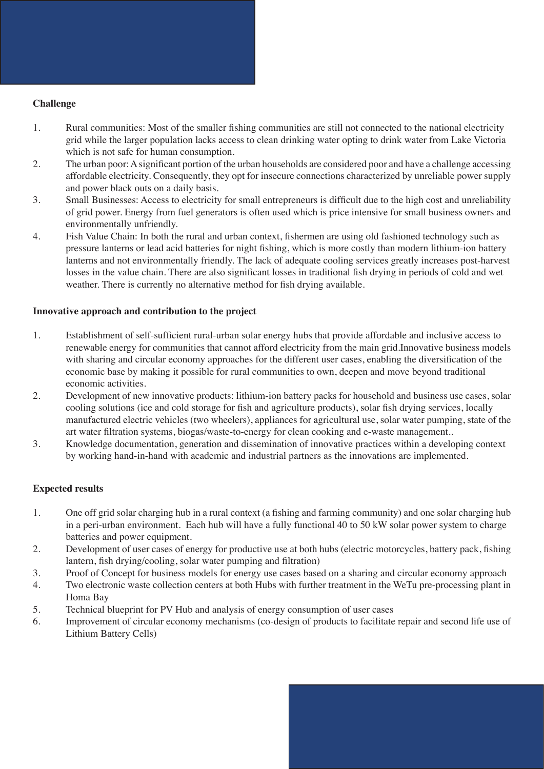# **Challenge**

- 1. Rural communities: Most of the smaller fishing communities are still not connected to the national electricity grid while the larger population lacks access to clean drinking water opting to drink water from Lake Victoria which is not safe for human consumption.
- 2. The urban poor: A significant portion of the urban households are considered poor and have a challenge accessing affordable electricity. Consequently, they opt for insecure connections characterized by unreliable power supply and power black outs on a daily basis.
- 3. Small Businesses: Access to electricity for small entrepreneurs is difficult due to the high cost and unreliability of grid power. Energy from fuel generators is often used which is price intensive for small business owners and environmentally unfriendly.
- 4. Fish Value Chain: In both the rural and urban context, fishermen are using old fashioned technology such as pressure lanterns or lead acid batteries for night fishing, which is more costly than modern lithium-ion battery lanterns and not environmentally friendly. The lack of adequate cooling services greatly increases post-harvest losses in the value chain. There are also significant losses in traditional fish drying in periods of cold and wet weather. There is currently no alternative method for fish drying available.

### **Innovative approach and contribution to the project**

- 1. Establishment of self-sufficient rural-urban solar energy hubs that provide affordable and inclusive access to renewable energy for communities that cannot afford electricity from the main grid.Innovative business models with sharing and circular economy approaches for the different user cases, enabling the diversification of the economic base by making it possible for rural communities to own, deepen and move beyond traditional economic activities.
- 2. Development of new innovative products: lithium-ion battery packs for household and business use cases, solar cooling solutions (ice and cold storage for fish and agriculture products), solar fish drying services, locally manufactured electric vehicles (two wheelers), appliances for agricultural use, solar water pumping, state of the art water filtration systems, biogas/waste-to-energy for clean cooking and e-waste management..
- 3. Knowledge documentation, generation and dissemination of innovative practices within a developing context by working hand-in-hand with academic and industrial partners as the innovations are implemented.

# **Expected results**

- 1. One off grid solar charging hub in a rural context (a fishing and farming community) and one solar charging hub in a peri-urban environment. Each hub will have a fully functional 40 to 50 kW solar power system to charge batteries and power equipment.
- 2. Development of user cases of energy for productive use at both hubs (electric motorcycles, battery pack, fishing lantern, fish drying/cooling, solar water pumping and filtration)
- 3. Proof of Concept for business models for energy use cases based on a sharing and circular economy approach
- 4. Two electronic waste collection centers at both Hubs with further treatment in the WeTu pre-processing plant in Homa Bay
- 5. Technical blueprint for PV Hub and analysis of energy consumption of user cases
- 6. Improvement of circular economy mechanisms (co-design of products to facilitate repair and second life use of Lithium Battery Cells)